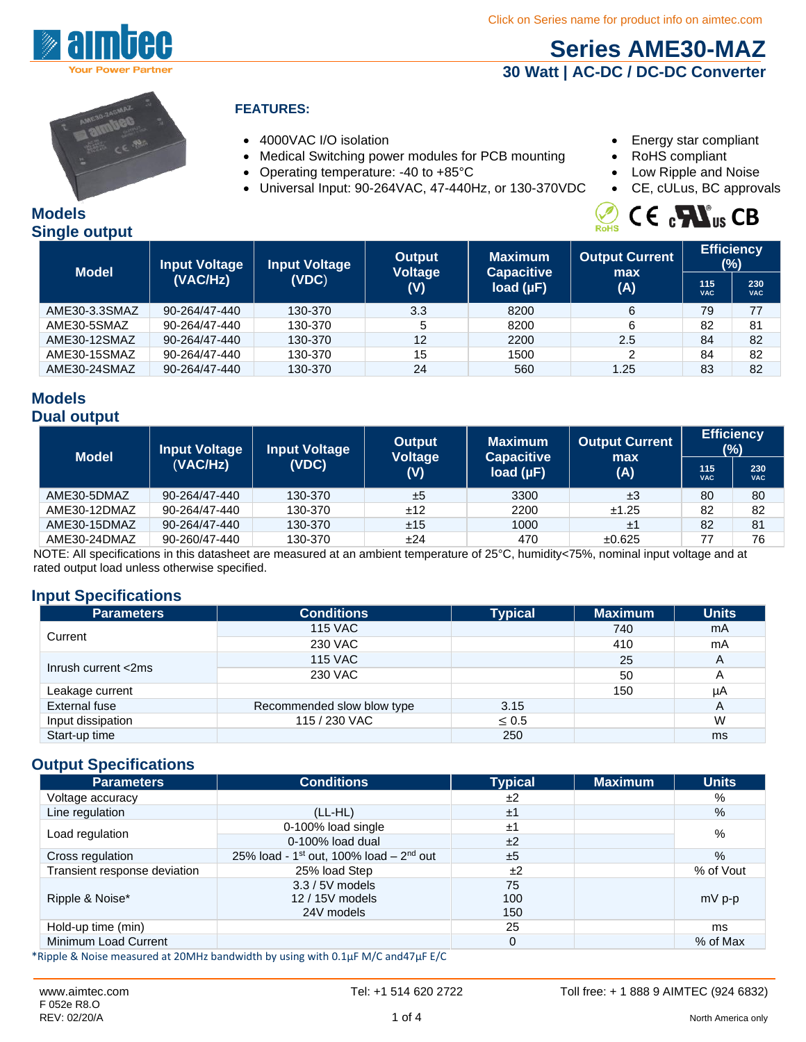

# **Series AME30-MAZ 30 Watt | AC-DC / DC-DC Converter**



#### **FEATURES:**

- 
- Medical Switching power modules for PCB mounting RoHS compliant
- Operating temperature: -40 to +85°C Low Ripple and Noise
- Universal Input: 90-264VAC, 47-440Hz, or 130-370VDC CE, cULus, BC approvals
- 4000VAC I/O isolation  **Energy star compliant** 
	-
	-
	-

#### **Models Single output**

|  | $\mathcal{L}_{\text{RoHS}}$ C E $_{c}\blacksquare$ CB |  |
|--|-------------------------------------------------------|--|
|  |                                                       |  |

| <b>Model</b>  | Input Voltage | <b>Input Voltage</b> | <b>Output</b>         | <b>Maximum</b>                      | <b>Output Current</b> |                   | <b>Efficiency</b><br>$(\%)$ |
|---------------|---------------|----------------------|-----------------------|-------------------------------------|-----------------------|-------------------|-----------------------------|
|               | (VAC/Hz)      | (VDC)                | <b>Voltage</b><br>(V) | <b>Capacitive</b><br>load $(\mu F)$ | max<br>(A)            | 115<br><b>VAC</b> | 230<br><b>VAC</b>           |
| AME30-3.3SMAZ | 90-264/47-440 | 130-370              | 3.3                   | 8200                                | 6                     | 79                | 77                          |
| AME30-5SMAZ   | 90-264/47-440 | 130-370              | 5                     | 8200                                | 6                     | 82                | 81                          |
| AME30-12SMAZ  | 90-264/47-440 | 130-370              | 12                    | 2200                                | 2.5                   | 84                | 82                          |
| AME30-15SMAZ  | 90-264/47-440 | 130-370              | 15                    | 1500                                | 2                     | 84                | 82                          |
| AME30-24SMAZ  | 90-264/47-440 | 130-370              | 24                    | 560                                 | 1.25                  | 83                | 82                          |

#### **Models Dual output**

| <b>Model</b> | <b>Input Voltage</b> | <b>Input Voltage</b> | <b>Output</b>         | <b>Maximum</b>                      | <b>Output Current</b> |                   | <b>Efficiency</b><br>(%) |
|--------------|----------------------|----------------------|-----------------------|-------------------------------------|-----------------------|-------------------|--------------------------|
|              | (VACHz)              | (VDC)                | <b>Voltage</b><br>(V) | <b>Capacitive</b><br>load $(\mu F)$ | max<br>(A)            | 115<br><b>VAC</b> | 230<br><b>VAC</b>        |
| AME30-5DMAZ  | 90-264/47-440        | 130-370              | ±5                    | 3300                                | ±3                    | 80                | 80                       |
| AME30-12DMAZ | 90-264/47-440        | 130-370              | ±12                   | 2200                                | ±1.25                 | 82                | 82                       |
| AME30-15DMAZ | 90-264/47-440        | 130-370              | ±15                   | 1000                                | ±1                    | 82                | 81                       |
| AME30-24DMAZ | 90-260/47-440        | 130-370              | ±24                   | 470                                 | ±0.625                | 77                | 76                       |

NOTE: All specifications in this datasheet are measured at an ambient temperature of 25°C, humidity<75%, nominal input voltage and at rated output load unless otherwise specified.

## **Input Specifications**

| <b>Parameters</b>   | <b>Conditions</b>          | <b>Typical</b> | <b>Maximum</b> | <b>Units</b> |
|---------------------|----------------------------|----------------|----------------|--------------|
| Current             | <b>115 VAC</b>             |                | 740            | mA           |
|                     | 230 VAC                    |                | 410            | mA           |
|                     | <b>115 VAC</b>             |                | 25             | A            |
| Inrush current <2ms | 230 VAC                    |                | 50             | Α            |
| Leakage current     |                            |                | 150            | μA           |
| External fuse       | Recommended slow blow type | 3.15           |                | A            |
| Input dissipation   | 115 / 230 VAC              | $\leq 0.5$     |                | W            |
| Start-up time       |                            | 250            |                | ms           |

## **Output Specifications**

| <b>Parameters</b>            | <b>Conditions</b>                           | <b>Typical</b> | <b>Maximum</b> | <b>Units</b> |
|------------------------------|---------------------------------------------|----------------|----------------|--------------|
| Voltage accuracy             |                                             | ±2             |                | %            |
| Line regulation              | $(LL-HL)$                                   | ±1             |                | %            |
|                              | 0-100% load single                          | ±1             |                | %            |
| Load regulation              | $0-100\%$ load dual                         | ±2             |                |              |
| Cross regulation             | 25% load - $1st$ out, 100% load – $2nd$ out | ±5             |                | $\%$         |
| Transient response deviation | 25% load Step                               | ±2             |                | % of Vout    |
| Ripple & Noise*              | $3.3 / 5V$ models<br>12 / 15V models        | 75<br>100      |                | $mV$ p-p     |
|                              | 24V models                                  | 150            |                |              |
| Hold-up time (min)           |                                             | 25             |                | ms           |
| Minimum Load Current         |                                             | 0              |                | % of Max     |

\*Ripple & Noise measured at 20MHz bandwidth by using with 0.1μF M/C and47μF E/C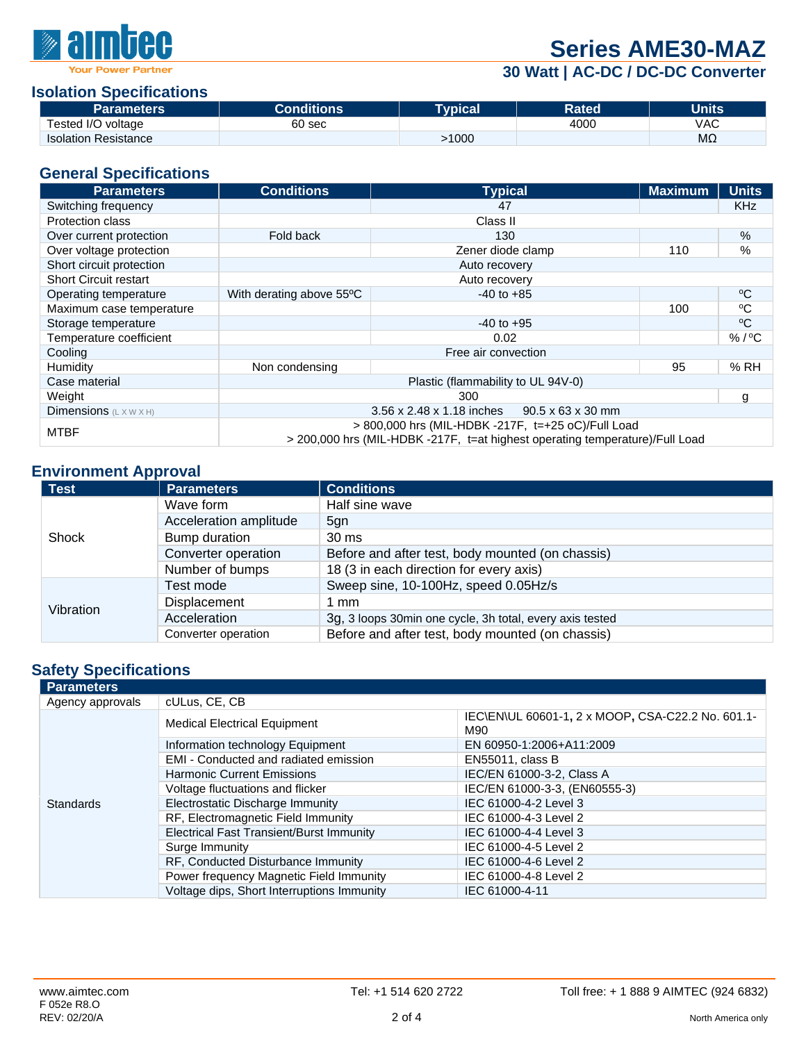

# **Series AME30-MAZ**

**30 Watt | AC-DC / DC-DC Converter**

#### **Isolation Specifications**

| <b>Parameters</b>           | <b>Conditions:</b> | <b>Tynical</b> | <b>Rated</b> | Units'         |
|-----------------------------|--------------------|----------------|--------------|----------------|
| Tested I/O voltage          | 60 sec             |                | 4000         | VAC            |
| <b>Isolation Resistance</b> |                    | 1000           |              | M <sub>2</sub> |

#### **General Specifications**

| <b>Parameters</b>                         | <b>Conditions</b>                                                                                                                  | <b>Typical</b>    | <b>Maximum</b> | <b>Units</b> |
|-------------------------------------------|------------------------------------------------------------------------------------------------------------------------------------|-------------------|----------------|--------------|
| Switching frequency                       |                                                                                                                                    | 47                |                | <b>KHz</b>   |
| <b>Protection class</b>                   |                                                                                                                                    | Class II          |                |              |
| Over current protection                   | Fold back                                                                                                                          | 130               |                | %            |
| Over voltage protection                   |                                                                                                                                    | Zener diode clamp | 110            | %            |
| Short circuit protection                  |                                                                                                                                    | Auto recovery     |                |              |
| <b>Short Circuit restart</b>              | Auto recovery                                                                                                                      |                   |                |              |
| Operating temperature                     | With derating above 55°C                                                                                                           | $-40$ to $+85$    |                | $\rm ^{o}C$  |
| Maximum case temperature                  |                                                                                                                                    |                   | 100            | $\rm ^{o}C$  |
| Storage temperature                       |                                                                                                                                    | $-40$ to $+95$    |                | $\rm ^{o}C$  |
| Temperature coefficient                   |                                                                                                                                    | 0.02              |                | $% /$ °C     |
| Cooling                                   | Free air convection                                                                                                                |                   |                |              |
| Humidity                                  | Non condensing                                                                                                                     |                   | 95             | %RH          |
| Case material                             | Plastic (flammability to UL 94V-0)                                                                                                 |                   |                |              |
| Weight                                    |                                                                                                                                    | 300               |                | g            |
| <b>Dimensions</b> $(L \times W \times H)$ | 3.56 x 2.48 x 1.18 inches<br>$90.5 \times 63 \times 30$ mm                                                                         |                   |                |              |
| <b>MTBF</b>                               | > 800,000 hrs (MIL-HDBK -217F, t=+25 oC)/Full Load<br>> 200,000 hrs (MIL-HDBK -217F, t=at highest operating temperature)/Full Load |                   |                |              |

### **Environment Approval**

| <b>Test</b> | <b>Parameters</b>      | <b>Conditions</b>                                        |
|-------------|------------------------|----------------------------------------------------------|
|             | Wave form              | Half sine wave                                           |
|             | Acceleration amplitude | 5gn                                                      |
| Shock       | Bump duration          | $30 \text{ ms}$                                          |
|             | Converter operation    | Before and after test, body mounted (on chassis)         |
|             | Number of bumps        | 18 (3 in each direction for every axis)                  |
| Vibration   | Test mode              | Sweep sine, 10-100Hz, speed 0.05Hz/s                     |
|             | Displacement           | 1 mm                                                     |
|             | Acceleration           | 3g, 3 loops 30min one cycle, 3h total, every axis tested |
|             | Converter operation    | Before and after test, body mounted (on chassis)         |

## **Safety Specifications**

| <b>Parameters</b> |                                                 |                                                          |  |
|-------------------|-------------------------------------------------|----------------------------------------------------------|--|
| Agency approvals  | cULus, CE, CB                                   |                                                          |  |
|                   | <b>Medical Electrical Equipment</b>             | IEC\EN\UL 60601-1, 2 x MOOP, CSA-C22.2 No. 601.1-<br>M90 |  |
|                   | Information technology Equipment                | EN 60950-1:2006+A11:2009                                 |  |
|                   | EMI - Conducted and radiated emission           | <b>EN55011, class B</b>                                  |  |
|                   | <b>Harmonic Current Emissions</b>               | IEC/EN 61000-3-2, Class A                                |  |
|                   | Voltage fluctuations and flicker                | IEC/EN 61000-3-3, (EN60555-3)                            |  |
| <b>Standards</b>  | Electrostatic Discharge Immunity                | IEC 61000-4-2 Level 3                                    |  |
|                   | RF, Electromagnetic Field Immunity              | IEC 61000-4-3 Level 2                                    |  |
|                   | <b>Electrical Fast Transient/Burst Immunity</b> | IEC 61000-4-4 Level 3                                    |  |
|                   | Surge Immunity                                  | IEC 61000-4-5 Level 2                                    |  |
|                   | RF, Conducted Disturbance Immunity              | IEC 61000-4-6 Level 2                                    |  |
|                   | Power frequency Magnetic Field Immunity         | IEC 61000-4-8 Level 2                                    |  |
|                   | Voltage dips, Short Interruptions Immunity      | IEC 61000-4-11                                           |  |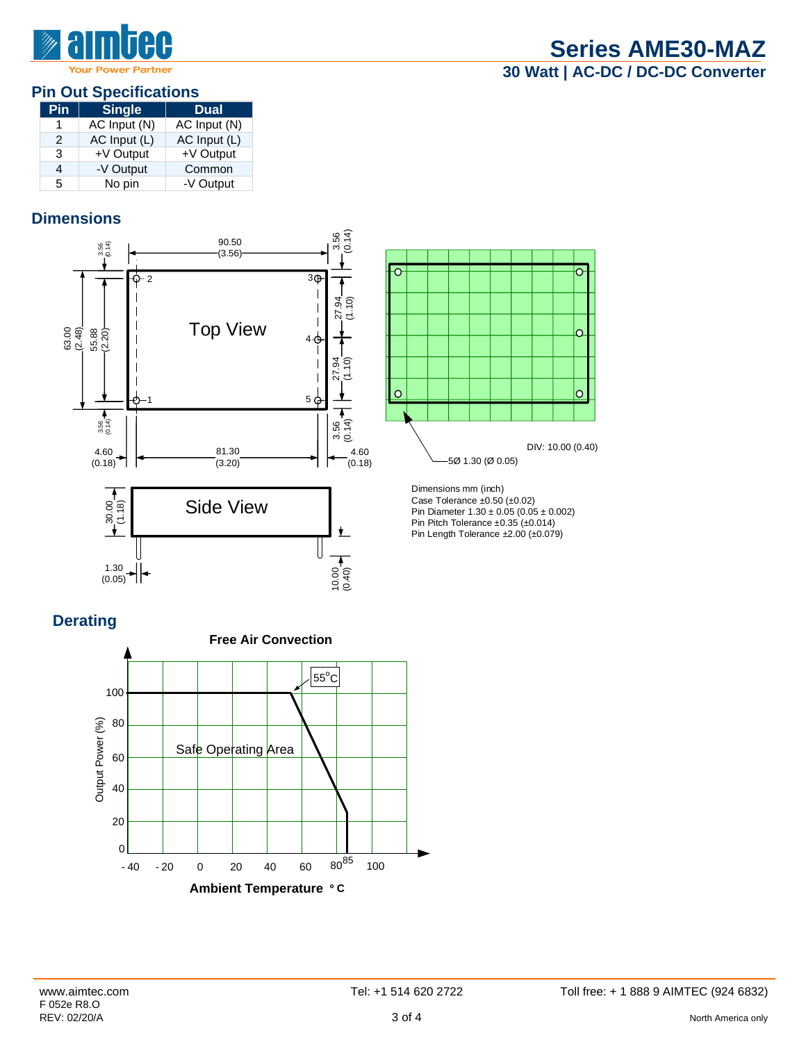

#### **Pin Out Specifications**

| Pin           | Single       | <b>Dual</b>  |
|---------------|--------------|--------------|
|               | AC Input (N) | AC Input (N) |
| $\mathcal{P}$ | AC Input (L) | AC Input (L) |
| 3             | +V Output    | +V Output    |
| 4             | -V Output    | Common       |
| 5             | No pin       | -V Output    |

## **Dimensions**



10.00 (0.40

## **Derating**

 $1.30 - 1.30 + 1.30 + 1.30 + 1.30 + 1.30 + 1.30 + 1.30 + 1.30 + 1.30 + 1.30 + 1.30 + 1.30 + 1.30 + 1.30 + 1.30 + 1.30 + 1.30 + 1.30 + 1.30 + 1.30 + 1.30 + 1.30 + 1.30 + 1.30 + 1.30 + 1.30 + 1.30 + 1.30 + 1.30 + 1.30 + 1.30 + 1.30 + 1.30 + 1.30 + 1.30 + 1.30$